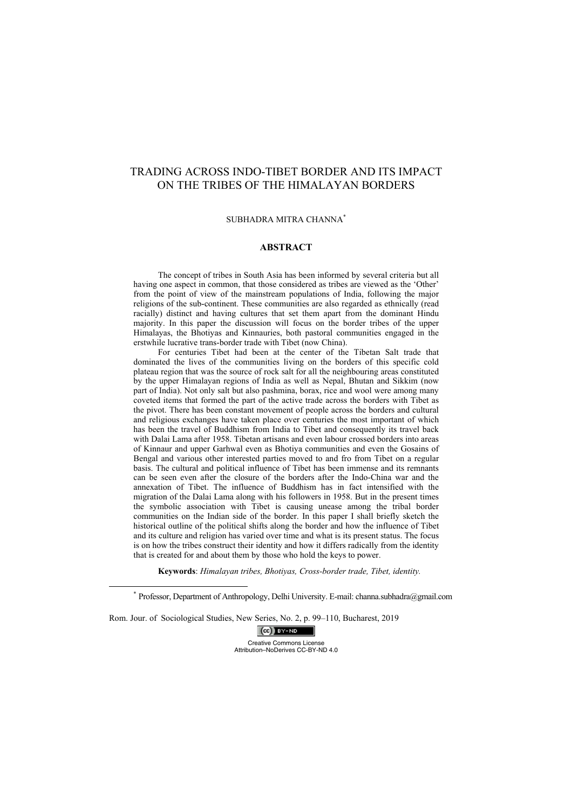# TRADING ACROSS INDO-TIBET BORDER AND ITS IMPACT ON THE TRIBES OF THE HIMALAYAN BORDERS

## SUBHADRA MITRA CHANNA\*

#### **ABSTRACT**

The concept of tribes in South Asia has been informed by several criteria but all having one aspect in common, that those considered as tribes are viewed as the 'Other' from the point of view of the mainstream populations of India, following the major religions of the sub-continent. These communities are also regarded as ethnically (read racially) distinct and having cultures that set them apart from the dominant Hindu majority. In this paper the discussion will focus on the border tribes of the upper Himalayas, the Bhotiyas and Kinnauries, both pastoral communities engaged in the erstwhile lucrative trans-border trade with Tibet (now China).

For centuries Tibet had been at the center of the Tibetan Salt trade that dominated the lives of the communities living on the borders of this specific cold plateau region that was the source of rock salt for all the neighbouring areas constituted by the upper Himalayan regions of India as well as Nepal, Bhutan and Sikkim (now part of India). Not only salt but also pashmina, borax, rice and wool were among many coveted items that formed the part of the active trade across the borders with Tibet as the pivot. There has been constant movement of people across the borders and cultural and religious exchanges have taken place over centuries the most important of which has been the travel of Buddhism from India to Tibet and consequently its travel back with Dalai Lama after 1958. Tibetan artisans and even labour crossed borders into areas of Kinnaur and upper Garhwal even as Bhotiya communities and even the Gosains of Bengal and various other interested parties moved to and fro from Tibet on a regular basis. The cultural and political influence of Tibet has been immense and its remnants can be seen even after the closure of the borders after the Indo-China war and the annexation of Tibet. The influence of Buddhism has in fact intensified with the migration of the Dalai Lama along with his followers in 1958. But in the present times the symbolic association with Tibet is causing unease among the tribal border communities on the Indian side of the border. In this paper I shall briefly sketch the historical outline of the political shifts along the border and how the influence of Tibet and its culture and religion has varied over time and what is its present status. The focus is on how the tribes construct their identity and how it differs radically from the identity that is created for and about them by those who hold the keys to power.

**Keywords**: *Himalayan tribes, Bhotiyas, Cross-border trade, Tibet, identity.*

 \* Professor, Department of Anthropology, Delhi University. E-mail: channa.subhadra@gmail.com

Rom. Jour. of Sociological Studies, New Series, No. 2, p. 99–110, Bucharest, 2019

 $(cc)$  BY-ND Creative Commons License Attribution–NoDerives CC-BY-ND 4.0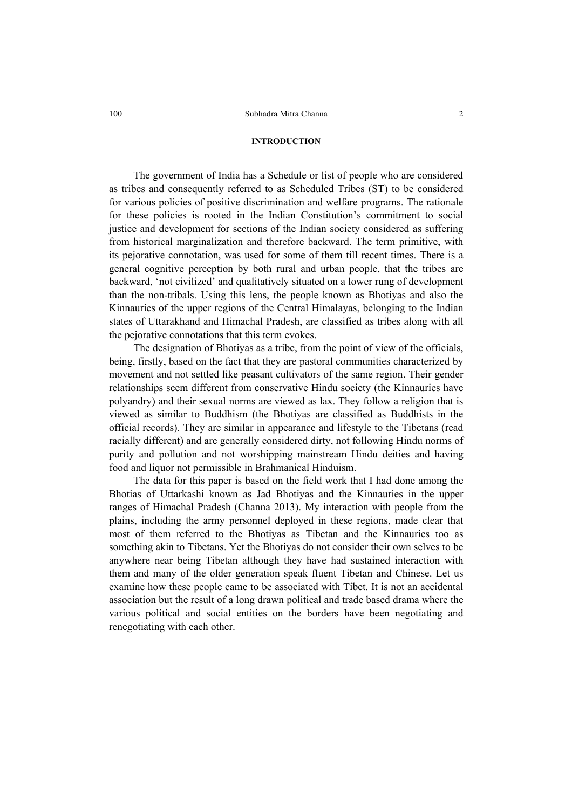# **INTRODUCTION**

The government of India has a Schedule or list of people who are considered as tribes and consequently referred to as Scheduled Tribes (ST) to be considered for various policies of positive discrimination and welfare programs. The rationale for these policies is rooted in the Indian Constitution's commitment to social justice and development for sections of the Indian society considered as suffering from historical marginalization and therefore backward. The term primitive, with its pejorative connotation, was used for some of them till recent times. There is a general cognitive perception by both rural and urban people, that the tribes are backward, 'not civilized' and qualitatively situated on a lower rung of development than the non-tribals. Using this lens, the people known as Bhotiyas and also the Kinnauries of the upper regions of the Central Himalayas, belonging to the Indian states of Uttarakhand and Himachal Pradesh, are classified as tribes along with all the pejorative connotations that this term evokes.

The designation of Bhotiyas as a tribe, from the point of view of the officials, being, firstly, based on the fact that they are pastoral communities characterized by movement and not settled like peasant cultivators of the same region. Their gender relationships seem different from conservative Hindu society (the Kinnauries have polyandry) and their sexual norms are viewed as lax. They follow a religion that is viewed as similar to Buddhism (the Bhotiyas are classified as Buddhists in the official records). They are similar in appearance and lifestyle to the Tibetans (read racially different) and are generally considered dirty, not following Hindu norms of purity and pollution and not worshipping mainstream Hindu deities and having food and liquor not permissible in Brahmanical Hinduism.

The data for this paper is based on the field work that I had done among the Bhotias of Uttarkashi known as Jad Bhotiyas and the Kinnauries in the upper ranges of Himachal Pradesh (Channa 2013). My interaction with people from the plains, including the army personnel deployed in these regions, made clear that most of them referred to the Bhotiyas as Tibetan and the Kinnauries too as something akin to Tibetans. Yet the Bhotiyas do not consider their own selves to be anywhere near being Tibetan although they have had sustained interaction with them and many of the older generation speak fluent Tibetan and Chinese. Let us examine how these people came to be associated with Tibet. It is not an accidental association but the result of a long drawn political and trade based drama where the various political and social entities on the borders have been negotiating and renegotiating with each other.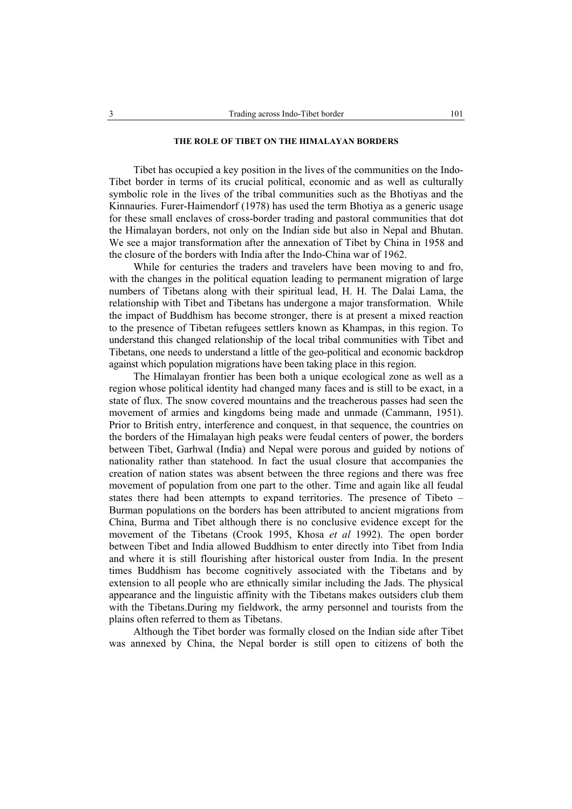## **THE ROLE OF TIBET ON THE HIMALAYAN BORDERS**

Tibet has occupied a key position in the lives of the communities on the Indo-Tibet border in terms of its crucial political, economic and as well as culturally symbolic role in the lives of the tribal communities such as the Bhotiyas and the Kinnauries. Furer-Haimendorf (1978) has used the term Bhotiya as a generic usage for these small enclaves of cross-border trading and pastoral communities that dot the Himalayan borders, not only on the Indian side but also in Nepal and Bhutan. We see a major transformation after the annexation of Tibet by China in 1958 and the closure of the borders with India after the Indo-China war of 1962.

While for centuries the traders and travelers have been moving to and fro, with the changes in the political equation leading to permanent migration of large numbers of Tibetans along with their spiritual lead, H. H. The Dalai Lama, the relationship with Tibet and Tibetans has undergone a major transformation. While the impact of Buddhism has become stronger, there is at present a mixed reaction to the presence of Tibetan refugees settlers known as Khampas, in this region. To understand this changed relationship of the local tribal communities with Tibet and Tibetans, one needs to understand a little of the geo-political and economic backdrop against which population migrations have been taking place in this region.

The Himalayan frontier has been both a unique ecological zone as well as a region whose political identity had changed many faces and is still to be exact, in a state of flux. The snow covered mountains and the treacherous passes had seen the movement of armies and kingdoms being made and unmade (Cammann, 1951). Prior to British entry, interference and conquest, in that sequence, the countries on the borders of the Himalayan high peaks were feudal centers of power, the borders between Tibet, Garhwal (India) and Nepal were porous and guided by notions of nationality rather than statehood. In fact the usual closure that accompanies the creation of nation states was absent between the three regions and there was free movement of population from one part to the other. Time and again like all feudal states there had been attempts to expand territories. The presence of Tibeto – Burman populations on the borders has been attributed to ancient migrations from China, Burma and Tibet although there is no conclusive evidence except for the movement of the Tibetans (Crook 1995, Khosa *et al* 1992). The open border between Tibet and India allowed Buddhism to enter directly into Tibet from India and where it is still flourishing after historical ouster from India. In the present times Buddhism has become cognitively associated with the Tibetans and by extension to all people who are ethnically similar including the Jads. The physical appearance and the linguistic affinity with the Tibetans makes outsiders club them with the Tibetans.During my fieldwork, the army personnel and tourists from the plains often referred to them as Tibetans.

Although the Tibet border was formally closed on the Indian side after Tibet was annexed by China, the Nepal border is still open to citizens of both the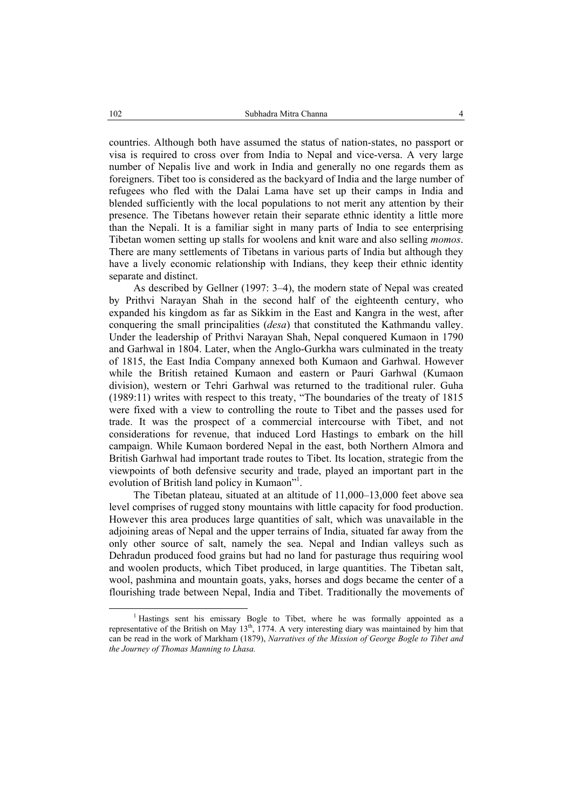countries. Although both have assumed the status of nation-states, no passport or visa is required to cross over from India to Nepal and vice-versa. A very large number of Nepalis live and work in India and generally no one regards them as foreigners. Tibet too is considered as the backyard of India and the large number of refugees who fled with the Dalai Lama have set up their camps in India and blended sufficiently with the local populations to not merit any attention by their presence. The Tibetans however retain their separate ethnic identity a little more than the Nepali. It is a familiar sight in many parts of India to see enterprising Tibetan women setting up stalls for woolens and knit ware and also selling *momos*. There are many settlements of Tibetans in various parts of India but although they have a lively economic relationship with Indians, they keep their ethnic identity separate and distinct.

As described by Gellner (1997: 3–4), the modern state of Nepal was created by Prithvi Narayan Shah in the second half of the eighteenth century, who expanded his kingdom as far as Sikkim in the East and Kangra in the west, after conquering the small principalities (*desa*) that constituted the Kathmandu valley. Under the leadership of Prithvi Narayan Shah, Nepal conquered Kumaon in 1790 and Garhwal in 1804. Later, when the Anglo-Gurkha wars culminated in the treaty of 1815, the East India Company annexed both Kumaon and Garhwal. However while the British retained Kumaon and eastern or Pauri Garhwal (Kumaon division), western or Tehri Garhwal was returned to the traditional ruler. Guha (1989:11) writes with respect to this treaty, "The boundaries of the treaty of 1815 were fixed with a view to controlling the route to Tibet and the passes used for trade. It was the prospect of a commercial intercourse with Tibet, and not considerations for revenue, that induced Lord Hastings to embark on the hill campaign. While Kumaon bordered Nepal in the east, both Northern Almora and British Garhwal had important trade routes to Tibet. Its location, strategic from the viewpoints of both defensive security and trade, played an important part in the evolution of British land policy in Kumaon"<sup>1</sup>.

The Tibetan plateau, situated at an altitude of 11,000–13,000 feet above sea level comprises of rugged stony mountains with little capacity for food production. However this area produces large quantities of salt, which was unavailable in the adjoining areas of Nepal and the upper terrains of India, situated far away from the only other source of salt, namely the sea. Nepal and Indian valleys such as Dehradun produced food grains but had no land for pasturage thus requiring wool and woolen products, which Tibet produced, in large quantities. The Tibetan salt, wool, pashmina and mountain goats, yaks, horses and dogs became the center of a flourishing trade between Nepal, India and Tibet. Traditionally the movements of

 $\frac{1}{1}$ <sup>1</sup> Hastings sent his emissary Bogle to Tibet, where he was formally appointed as a representative of the British on May 13<sup>th</sup>, 1774. A very interesting diary was maintained by him that can be read in the work of Markham (1879), *Narratives of the Mission of George Bogle to Tibet and the Journey of Thomas Manning to Lhasa.*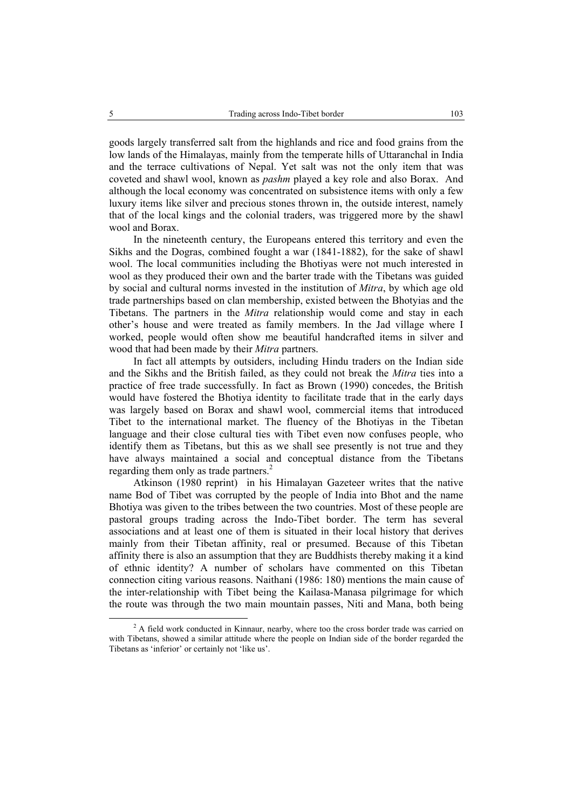goods largely transferred salt from the highlands and rice and food grains from the low lands of the Himalayas, mainly from the temperate hills of Uttaranchal in India and the terrace cultivations of Nepal. Yet salt was not the only item that was coveted and shawl wool, known as *pashm* played a key role and also Borax. And although the local economy was concentrated on subsistence items with only a few luxury items like silver and precious stones thrown in, the outside interest, namely that of the local kings and the colonial traders, was triggered more by the shawl wool and Borax.

In the nineteenth century, the Europeans entered this territory and even the Sikhs and the Dogras, combined fought a war (1841-1882), for the sake of shawl wool. The local communities including the Bhotiyas were not much interested in wool as they produced their own and the barter trade with the Tibetans was guided by social and cultural norms invested in the institution of *Mitra*, by which age old trade partnerships based on clan membership, existed between the Bhotyias and the Tibetans. The partners in the *Mitra* relationship would come and stay in each other's house and were treated as family members. In the Jad village where I worked, people would often show me beautiful handcrafted items in silver and wood that had been made by their *Mitra* partners.

In fact all attempts by outsiders, including Hindu traders on the Indian side and the Sikhs and the British failed, as they could not break the *Mitra* ties into a practice of free trade successfully. In fact as Brown (1990) concedes, the British would have fostered the Bhotiya identity to facilitate trade that in the early days was largely based on Borax and shawl wool, commercial items that introduced Tibet to the international market. The fluency of the Bhotiyas in the Tibetan language and their close cultural ties with Tibet even now confuses people, who identify them as Tibetans, but this as we shall see presently is not true and they have always maintained a social and conceptual distance from the Tibetans regarding them only as trade partners.<sup>2</sup>

Atkinson (1980 reprint) in his Himalayan Gazeteer writes that the native name Bod of Tibet was corrupted by the people of India into Bhot and the name Bhotiya was given to the tribes between the two countries. Most of these people are pastoral groups trading across the Indo-Tibet border. The term has several associations and at least one of them is situated in their local history that derives mainly from their Tibetan affinity, real or presumed. Because of this Tibetan affinity there is also an assumption that they are Buddhists thereby making it a kind of ethnic identity? A number of scholars have commented on this Tibetan connection citing various reasons. Naithani (1986: 180) mentions the main cause of the inter-relationship with Tibet being the Kailasa-Manasa pilgrimage for which the route was through the two main mountain passes, Niti and Mana, both being

 <sup>2</sup> <sup>2</sup> A field work conducted in Kinnaur, nearby, where too the cross border trade was carried on with Tibetans, showed a similar attitude where the people on Indian side of the border regarded the Tibetans as 'inferior' or certainly not 'like us'.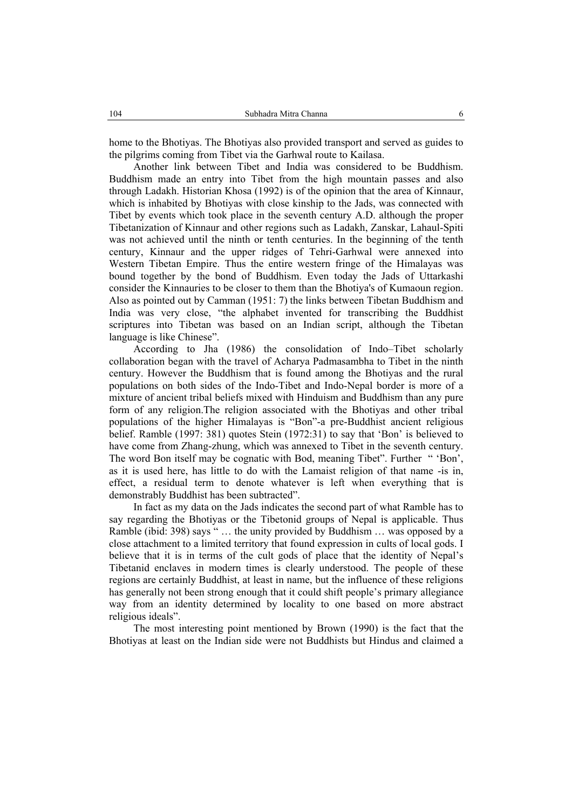home to the Bhotiyas. The Bhotiyas also provided transport and served as guides to the pilgrims coming from Tibet via the Garhwal route to Kailasa.

Another link between Tibet and India was considered to be Buddhism. Buddhism made an entry into Tibet from the high mountain passes and also through Ladakh. Historian Khosa (1992) is of the opinion that the area of Kinnaur, which is inhabited by Bhotiyas with close kinship to the Jads, was connected with Tibet by events which took place in the seventh century A.D. although the proper Tibetanization of Kinnaur and other regions such as Ladakh, Zanskar, Lahaul-Spiti was not achieved until the ninth or tenth centuries. In the beginning of the tenth century, Kinnaur and the upper ridges of Tehri-Garhwal were annexed into Western Tibetan Empire. Thus the entire western fringe of the Himalayas was bound together by the bond of Buddhism. Even today the Jads of Uttarkashi consider the Kinnauries to be closer to them than the Bhotiya's of Kumaoun region. Also as pointed out by Camman (1951: 7) the links between Tibetan Buddhism and India was very close, "the alphabet invented for transcribing the Buddhist scriptures into Tibetan was based on an Indian script, although the Tibetan language is like Chinese".

According to Jha (1986) the consolidation of Indo–Tibet scholarly collaboration began with the travel of Acharya Padmasambha to Tibet in the ninth century. However the Buddhism that is found among the Bhotiyas and the rural populations on both sides of the Indo-Tibet and Indo-Nepal border is more of a mixture of ancient tribal beliefs mixed with Hinduism and Buddhism than any pure form of any religion.The religion associated with the Bhotiyas and other tribal populations of the higher Himalayas is "Bon"-a pre-Buddhist ancient religious belief. Ramble (1997: 381) quotes Stein (1972:31) to say that 'Bon' is believed to have come from Zhang-zhung, which was annexed to Tibet in the seventh century. The word Bon itself may be cognatic with Bod, meaning Tibet". Further " 'Bon', as it is used here, has little to do with the Lamaist religion of that name -is in, effect, a residual term to denote whatever is left when everything that is demonstrably Buddhist has been subtracted".

In fact as my data on the Jads indicates the second part of what Ramble has to say regarding the Bhotiyas or the Tibetonid groups of Nepal is applicable. Thus Ramble (ibid: 398) says " … the unity provided by Buddhism … was opposed by a close attachment to a limited territory that found expression in cults of local gods. I believe that it is in terms of the cult gods of place that the identity of Nepal's Tibetanid enclaves in modern times is clearly understood. The people of these regions are certainly Buddhist, at least in name, but the influence of these religions has generally not been strong enough that it could shift people's primary allegiance way from an identity determined by locality to one based on more abstract religious ideals".

The most interesting point mentioned by Brown (1990) is the fact that the Bhotiyas at least on the Indian side were not Buddhists but Hindus and claimed a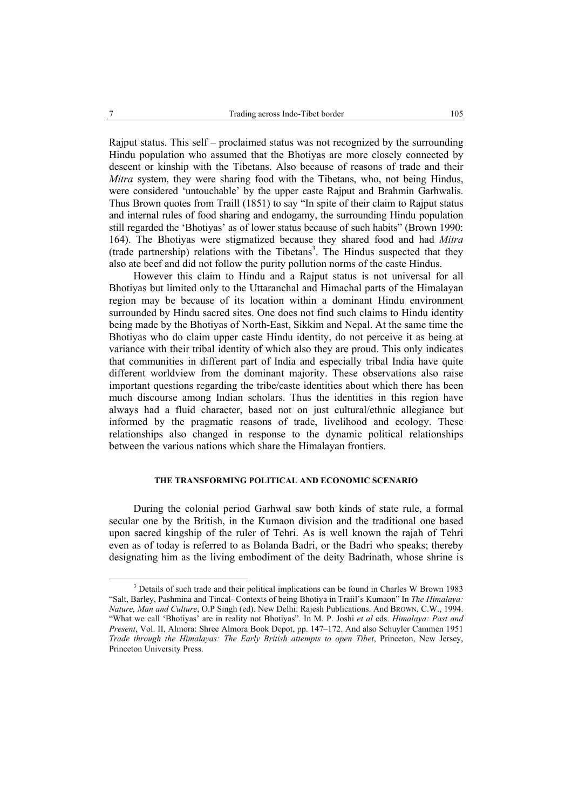Rajput status. This self – proclaimed status was not recognized by the surrounding Hindu population who assumed that the Bhotiyas are more closely connected by descent or kinship with the Tibetans. Also because of reasons of trade and their *Mitra* system, they were sharing food with the Tibetans, who, not being Hindus, were considered 'untouchable' by the upper caste Rajput and Brahmin Garhwalis. Thus Brown quotes from Traill (1851) to say "In spite of their claim to Rajput status and internal rules of food sharing and endogamy, the surrounding Hindu population still regarded the 'Bhotiyas' as of lower status because of such habits" (Brown 1990: 164). The Bhotiyas were stigmatized because they shared food and had *Mitra*  $(trade\ partership)$  relations with the Tibetans<sup>3</sup>. The Hindus suspected that they also ate beef and did not follow the purity pollution norms of the caste Hindus.

However this claim to Hindu and a Rajput status is not universal for all Bhotiyas but limited only to the Uttaranchal and Himachal parts of the Himalayan region may be because of its location within a dominant Hindu environment surrounded by Hindu sacred sites. One does not find such claims to Hindu identity being made by the Bhotiyas of North-East, Sikkim and Nepal. At the same time the Bhotiyas who do claim upper caste Hindu identity, do not perceive it as being at variance with their tribal identity of which also they are proud. This only indicates that communities in different part of India and especially tribal India have quite different worldview from the dominant majority. These observations also raise important questions regarding the tribe/caste identities about which there has been much discourse among Indian scholars. Thus the identities in this region have always had a fluid character, based not on just cultural/ethnic allegiance but informed by the pragmatic reasons of trade, livelihood and ecology. These relationships also changed in response to the dynamic political relationships between the various nations which share the Himalayan frontiers.

#### **THE TRANSFORMING POLITICAL AND ECONOMIC SCENARIO**

During the colonial period Garhwal saw both kinds of state rule, a formal secular one by the British, in the Kumaon division and the traditional one based upon sacred kingship of the ruler of Tehri. As is well known the rajah of Tehri even as of today is referred to as Bolanda Badri, or the Badri who speaks; thereby designating him as the living embodiment of the deity Badrinath, whose shrine is

 $\frac{3}{3}$  $3$  Details of such trade and their political implications can be found in Charles W Brown 1983 "Salt, Barley, Pashmina and Tincal- Contexts of being Bhotiya in Traiil's Kumaon" In *The Himalaya: Nature, Man and Culture*, O.P Singh (ed). New Delhi: Rajesh Publications. And BROWN, C.W., 1994. "What we call 'Bhotiyas' are in reality not Bhotiyas". In M. P. Joshi *et al* eds. *Himalaya: Past and Present*, Vol. II, Almora: Shree Almora Book Depot, pp. 147–172. And also Schuyler Cammen 1951 *Trade through the Himalayas: The Early British attempts to open Tibet*, Princeton, New Jersey, Princeton University Press.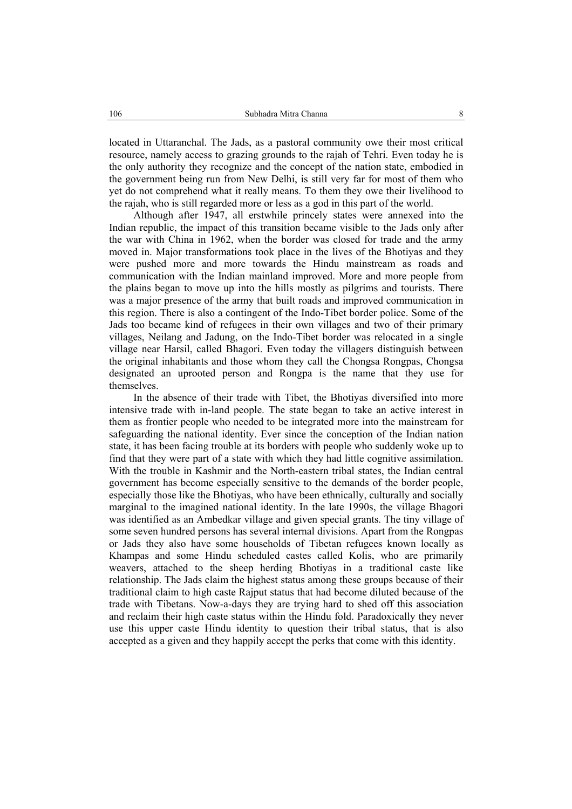located in Uttaranchal. The Jads, as a pastoral community owe their most critical resource, namely access to grazing grounds to the rajah of Tehri. Even today he is the only authority they recognize and the concept of the nation state, embodied in the government being run from New Delhi, is still very far for most of them who yet do not comprehend what it really means. To them they owe their livelihood to the rajah, who is still regarded more or less as a god in this part of the world.

Although after 1947, all erstwhile princely states were annexed into the Indian republic, the impact of this transition became visible to the Jads only after the war with China in 1962, when the border was closed for trade and the army moved in. Major transformations took place in the lives of the Bhotiyas and they were pushed more and more towards the Hindu mainstream as roads and communication with the Indian mainland improved. More and more people from the plains began to move up into the hills mostly as pilgrims and tourists. There was a major presence of the army that built roads and improved communication in this region. There is also a contingent of the Indo-Tibet border police. Some of the Jads too became kind of refugees in their own villages and two of their primary villages, Neilang and Jadung, on the Indo-Tibet border was relocated in a single village near Harsil, called Bhagori. Even today the villagers distinguish between the original inhabitants and those whom they call the Chongsa Rongpas, Chongsa designated an uprooted person and Rongpa is the name that they use for themselves.

In the absence of their trade with Tibet, the Bhotiyas diversified into more intensive trade with in-land people. The state began to take an active interest in them as frontier people who needed to be integrated more into the mainstream for safeguarding the national identity. Ever since the conception of the Indian nation state, it has been facing trouble at its borders with people who suddenly woke up to find that they were part of a state with which they had little cognitive assimilation. With the trouble in Kashmir and the North-eastern tribal states, the Indian central government has become especially sensitive to the demands of the border people, especially those like the Bhotiyas, who have been ethnically, culturally and socially marginal to the imagined national identity. In the late 1990s, the village Bhagori was identified as an Ambedkar village and given special grants. The tiny village of some seven hundred persons has several internal divisions. Apart from the Rongpas or Jads they also have some households of Tibetan refugees known locally as Khampas and some Hindu scheduled castes called Kolis, who are primarily weavers, attached to the sheep herding Bhotiyas in a traditional caste like relationship. The Jads claim the highest status among these groups because of their traditional claim to high caste Rajput status that had become diluted because of the trade with Tibetans. Now-a-days they are trying hard to shed off this association and reclaim their high caste status within the Hindu fold. Paradoxically they never use this upper caste Hindu identity to question their tribal status, that is also accepted as a given and they happily accept the perks that come with this identity.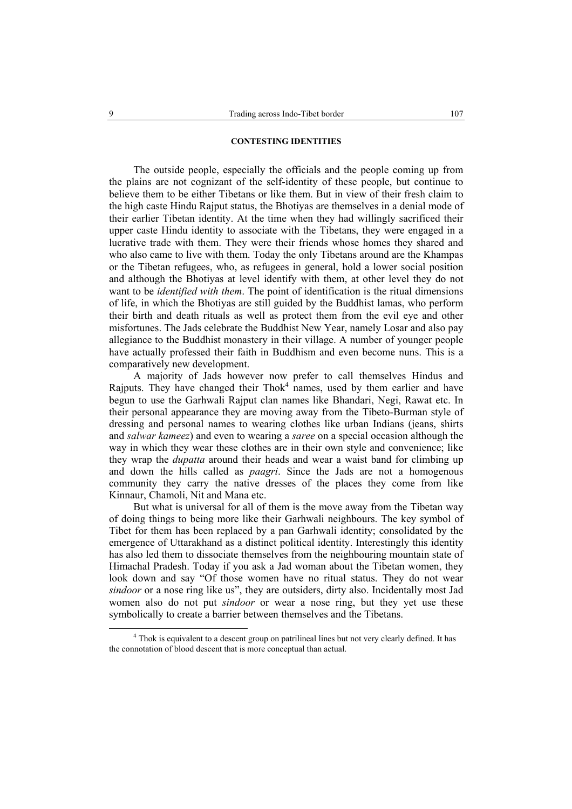## **CONTESTING IDENTITIES**

The outside people, especially the officials and the people coming up from the plains are not cognizant of the self-identity of these people, but continue to believe them to be either Tibetans or like them. But in view of their fresh claim to the high caste Hindu Rajput status, the Bhotiyas are themselves in a denial mode of their earlier Tibetan identity. At the time when they had willingly sacrificed their upper caste Hindu identity to associate with the Tibetans, they were engaged in a lucrative trade with them. They were their friends whose homes they shared and who also came to live with them. Today the only Tibetans around are the Khampas or the Tibetan refugees, who, as refugees in general, hold a lower social position and although the Bhotiyas at level identify with them, at other level they do not want to be *identified with them*. The point of identification is the ritual dimensions of life, in which the Bhotiyas are still guided by the Buddhist lamas, who perform their birth and death rituals as well as protect them from the evil eye and other misfortunes. The Jads celebrate the Buddhist New Year, namely Losar and also pay allegiance to the Buddhist monastery in their village. A number of younger people have actually professed their faith in Buddhism and even become nuns. This is a comparatively new development.

A majority of Jads however now prefer to call themselves Hindus and Rajputs. They have changed their  $Thok<sup>4</sup>$  names, used by them earlier and have begun to use the Garhwali Rajput clan names like Bhandari, Negi, Rawat etc. In their personal appearance they are moving away from the Tibeto-Burman style of dressing and personal names to wearing clothes like urban Indians (jeans, shirts and *salwar kameez*) and even to wearing a *saree* on a special occasion although the way in which they wear these clothes are in their own style and convenience; like they wrap the *dupatta* around their heads and wear a waist band for climbing up and down the hills called as *paagri*. Since the Jads are not a homogenous community they carry the native dresses of the places they come from like Kinnaur, Chamoli, Nit and Mana etc.

But what is universal for all of them is the move away from the Tibetan way of doing things to being more like their Garhwali neighbours. The key symbol of Tibet for them has been replaced by a pan Garhwali identity; consolidated by the emergence of Uttarakhand as a distinct political identity. Interestingly this identity has also led them to dissociate themselves from the neighbouring mountain state of Himachal Pradesh. Today if you ask a Jad woman about the Tibetan women, they look down and say "Of those women have no ritual status. They do not wear *sindoor* or a nose ring like us", they are outsiders, dirty also. Incidentally most Jad women also do not put *sindoor* or wear a nose ring, but they yet use these symbolically to create a barrier between themselves and the Tibetans.

 $\overline{4}$ <sup>4</sup> Thok is equivalent to a descent group on patrilineal lines but not very clearly defined. It has the connotation of blood descent that is more conceptual than actual.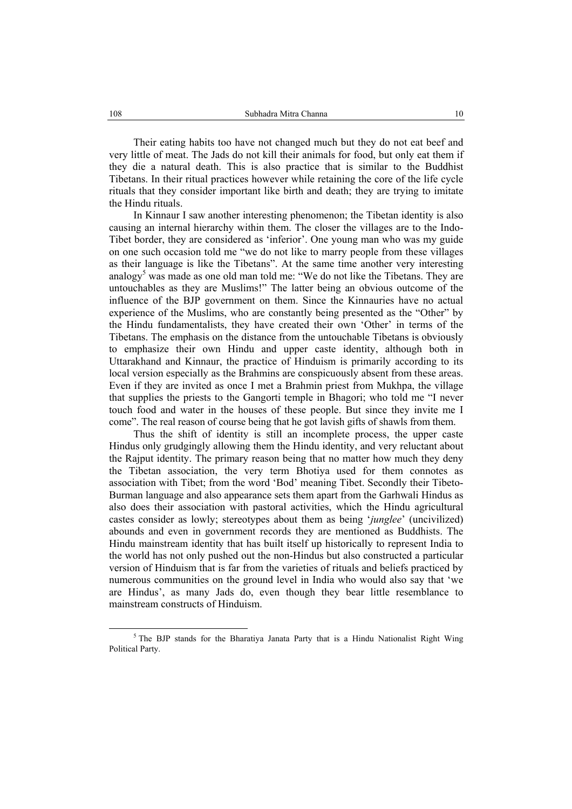Their eating habits too have not changed much but they do not eat beef and very little of meat. The Jads do not kill their animals for food, but only eat them if they die a natural death. This is also practice that is similar to the Buddhist Tibetans. In their ritual practices however while retaining the core of the life cycle rituals that they consider important like birth and death; they are trying to imitate the Hindu rituals.

In Kinnaur I saw another interesting phenomenon; the Tibetan identity is also causing an internal hierarchy within them. The closer the villages are to the Indo-Tibet border, they are considered as 'inferior'. One young man who was my guide on one such occasion told me "we do not like to marry people from these villages as their language is like the Tibetans". At the same time another very interesting analogy<sup>5</sup> was made as one old man told me: "We do not like the Tibetans. They are untouchables as they are Muslims!" The latter being an obvious outcome of the influence of the BJP government on them. Since the Kinnauries have no actual experience of the Muslims, who are constantly being presented as the "Other" by the Hindu fundamentalists, they have created their own 'Other' in terms of the Tibetans. The emphasis on the distance from the untouchable Tibetans is obviously to emphasize their own Hindu and upper caste identity, although both in Uttarakhand and Kinnaur, the practice of Hinduism is primarily according to its local version especially as the Brahmins are conspicuously absent from these areas. Even if they are invited as once I met a Brahmin priest from Mukhpa, the village that supplies the priests to the Gangorti temple in Bhagori; who told me "I never touch food and water in the houses of these people. But since they invite me I come". The real reason of course being that he got lavish gifts of shawls from them.

Thus the shift of identity is still an incomplete process, the upper caste Hindus only grudgingly allowing them the Hindu identity, and very reluctant about the Rajput identity. The primary reason being that no matter how much they deny the Tibetan association, the very term Bhotiya used for them connotes as association with Tibet; from the word 'Bod' meaning Tibet. Secondly their Tibeto-Burman language and also appearance sets them apart from the Garhwali Hindus as also does their association with pastoral activities, which the Hindu agricultural castes consider as lowly; stereotypes about them as being '*junglee*' (uncivilized) abounds and even in government records they are mentioned as Buddhists. The Hindu mainstream identity that has built itself up historically to represent India to the world has not only pushed out the non-Hindus but also constructed a particular version of Hinduism that is far from the varieties of rituals and beliefs practiced by numerous communities on the ground level in India who would also say that 'we are Hindus', as many Jads do, even though they bear little resemblance to mainstream constructs of Hinduism.

 $rac{1}{5}$ <sup>5</sup> The BJP stands for the Bharatiya Janata Party that is a Hindu Nationalist Right Wing Political Party.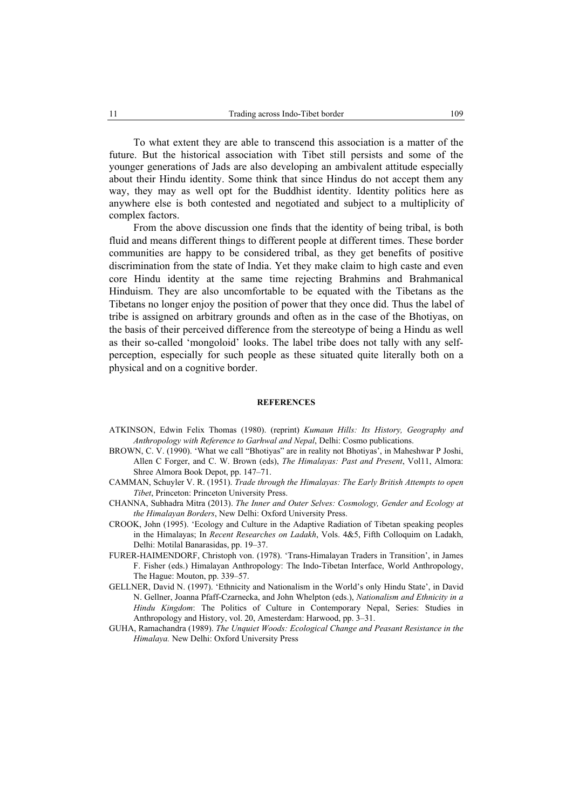To what extent they are able to transcend this association is a matter of the future. But the historical association with Tibet still persists and some of the younger generations of Jads are also developing an ambivalent attitude especially about their Hindu identity. Some think that since Hindus do not accept them any way, they may as well opt for the Buddhist identity. Identity politics here as anywhere else is both contested and negotiated and subject to a multiplicity of complex factors.

From the above discussion one finds that the identity of being tribal, is both fluid and means different things to different people at different times. These border communities are happy to be considered tribal, as they get benefits of positive discrimination from the state of India. Yet they make claim to high caste and even core Hindu identity at the same time rejecting Brahmins and Brahmanical Hinduism. They are also uncomfortable to be equated with the Tibetans as the Tibetans no longer enjoy the position of power that they once did. Thus the label of tribe is assigned on arbitrary grounds and often as in the case of the Bhotiyas, on the basis of their perceived difference from the stereotype of being a Hindu as well as their so-called 'mongoloid' looks. The label tribe does not tally with any selfperception, especially for such people as these situated quite literally both on a physical and on a cognitive border.

#### **REFERENCES**

- ATKINSON, Edwin Felix Thomas (1980). (reprint) *Kumaun Hills: Its History, Geography and Anthropology with Reference to Garhwal and Nepal*, Delhi: Cosmo publications.
- BROWN, C. V. (1990). 'What we call "Bhotiyas" are in reality not Bhotiyas', in Maheshwar P Joshi, Allen C Forger, and C. W. Brown (eds), *The Himalayas: Past and Present*, Vol11, Almora: Shree Almora Book Depot, pp. 147–71.
- CAMMAN, Schuyler V. R. (1951). *Trade through the Himalayas: The Early British Attempts to open Tibet*, Princeton: Princeton University Press.
- CHANNA, Subhadra Mitra (2013). *The Inner and Outer Selves: Cosmology, Gender and Ecology at the Himalayan Borders*, New Delhi: Oxford University Press.
- CROOK, John (1995). 'Ecology and Culture in the Adaptive Radiation of Tibetan speaking peoples in the Himalayas; In *Recent Researches on Ladakh*, Vols. 4&5, Fifth Colloquim on Ladakh, Delhi: Motilal Banarasidas, pp. 19–37.
- FURER-HAIMENDORF, Christoph von. (1978). 'Trans-Himalayan Traders in Transition', in James F. Fisher (eds.) Himalayan Anthropology: The Indo-Tibetan Interface, World Anthropology, The Hague: Mouton, pp. 339–57.
- GELLNER, David N. (1997). 'Ethnicity and Nationalism in the World's only Hindu State', in David N. Gellner, Joanna Pfaff-Czarnecka, and John Whelpton (eds.), *Nationalism and Ethnicity in a Hindu Kingdom*: The Politics of Culture in Contemporary Nepal, Series: Studies in Anthropology and History, vol. 20, Amesterdam: Harwood, pp. 3–31.
- GUHA, Ramachandra (1989). *The Unquiet Woods: Ecological Change and Peasant Resistance in the Himalaya.* New Delhi: Oxford University Press